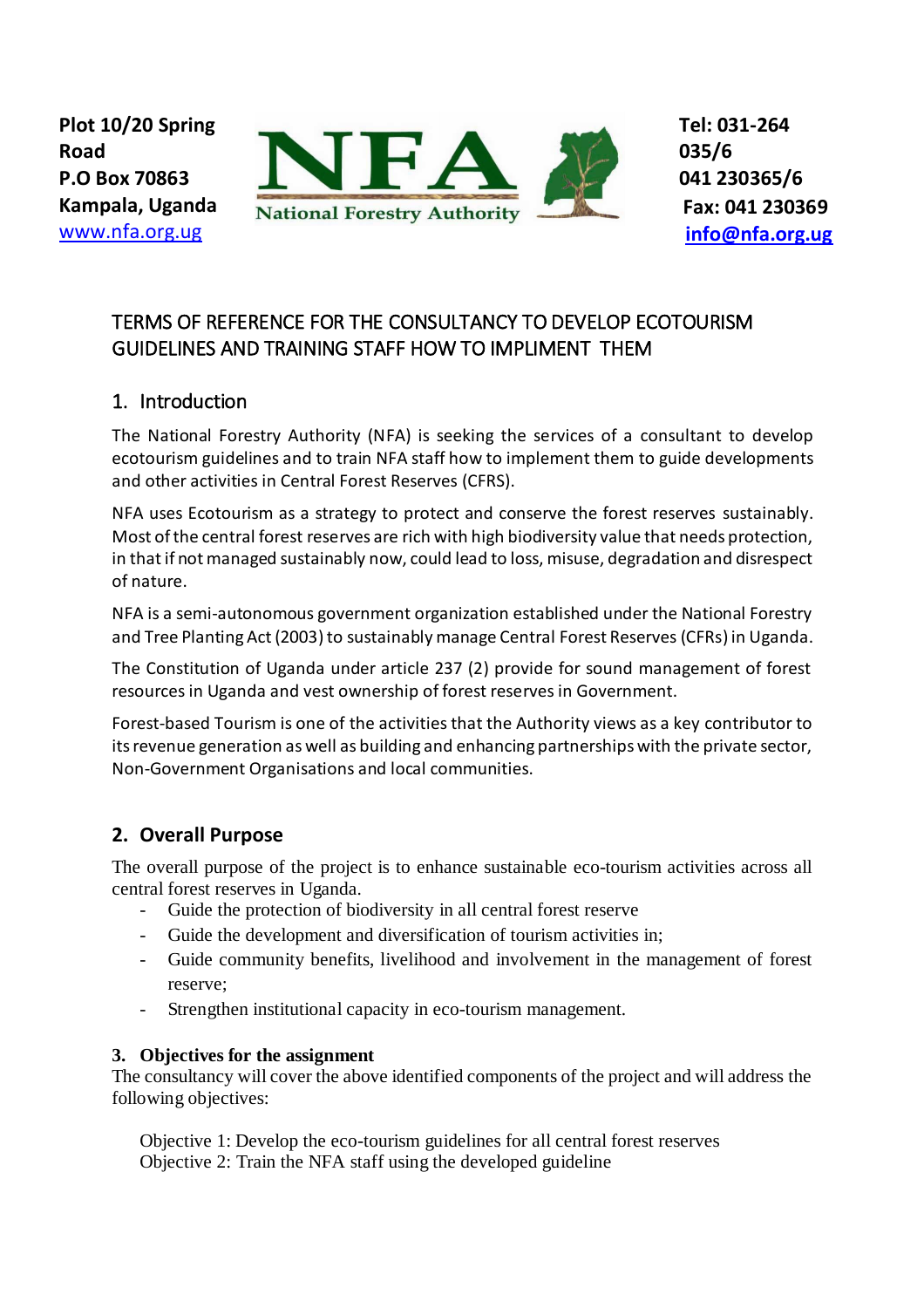

# TERMS OF REFERENCE FOR THE CONSULTANCY TO DEVELOP ECOTOURISM GUIDELINES AND TRAINING STAFF HOW TO IMPLIMENT THEM

### 1. Introduction

The National Forestry Authority (NFA) is seeking the services of a consultant to develop ecotourism guidelines and to train NFA staff how to implement them to guide developments and other activities in Central Forest Reserves (CFRS).

NFA uses Ecotourism as a strategy to protect and conserve the forest reserves sustainably. Most of the central forest reserves are rich with high biodiversity value that needs protection, in that if not managed sustainably now, could lead to loss, misuse, degradation and disrespect of nature.

NFA is a semi-autonomous government organization established under the National Forestry and Tree Planting Act (2003) to sustainably manage Central Forest Reserves (CFRs) in Uganda.

The Constitution of Uganda under article 237 (2) provide for sound management of forest resources in Uganda and vest ownership of forest reserves in Government.

Forest-based Tourism is one of the activities that the Authority views as a key contributor to its revenue generation as well as building and enhancing partnerships with the private sector, Non-Government Organisations and local communities.

## **2. Overall Purpose**

The overall purpose of the project is to enhance sustainable eco-tourism activities across all central forest reserves in Uganda.

- Guide the protection of biodiversity in all central forest reserve
- Guide the development and diversification of tourism activities in;
- Guide community benefits, livelihood and involvement in the management of forest reserve;
- Strengthen institutional capacity in eco-tourism management.

#### **3. Objectives for the assignment**

The consultancy will cover the above identified components of the project and will address the following objectives:

Objective 1: Develop the eco-tourism guidelines for all central forest reserves Objective 2: Train the NFA staff using the developed guideline